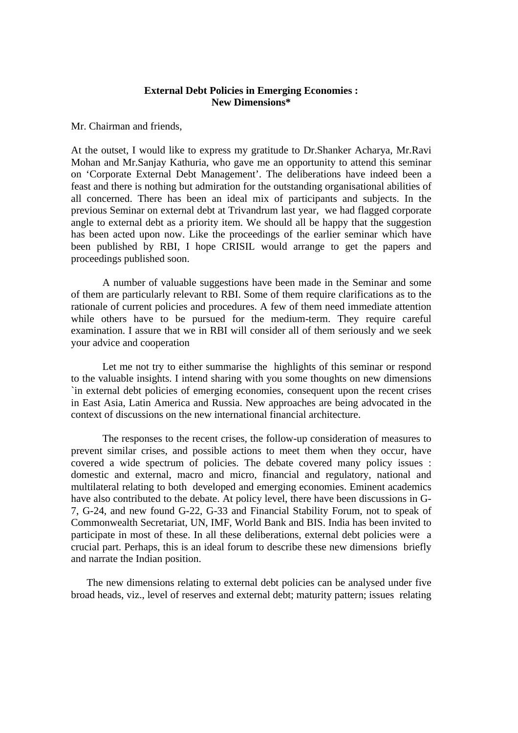# **External Debt Policies in Emerging Economies : New Dimensions\***

Mr. Chairman and friends,

At the outset, I would like to express my gratitude to Dr.Shanker Acharya, Mr.Ravi Mohan and Mr.Sanjay Kathuria, who gave me an opportunity to attend this seminar on 'Corporate External Debt Management'. The deliberations have indeed been a feast and there is nothing but admiration for the outstanding organisational abilities of all concerned. There has been an ideal mix of participants and subjects. In the previous Seminar on external debt at Trivandrum last year, we had flagged corporate angle to external debt as a priority item. We should all be happy that the suggestion has been acted upon now. Like the proceedings of the earlier seminar which have been published by RBI, I hope CRISIL would arrange to get the papers and proceedings published soon.

A number of valuable suggestions have been made in the Seminar and some of them are particularly relevant to RBI. Some of them require clarifications as to the rationale of current policies and procedures. A few of them need immediate attention while others have to be pursued for the medium-term. They require careful examination. I assure that we in RBI will consider all of them seriously and we seek your advice and cooperation

Let me not try to either summarise the highlights of this seminar or respond to the valuable insights. I intend sharing with you some thoughts on new dimensions `in external debt policies of emerging economies, consequent upon the recent crises in East Asia, Latin America and Russia. New approaches are being advocated in the context of discussions on the new international financial architecture.

The responses to the recent crises, the follow-up consideration of measures to prevent similar crises, and possible actions to meet them when they occur, have covered a wide spectrum of policies. The debate covered many policy issues : domestic and external, macro and micro, financial and regulatory, national and multilateral relating to both developed and emerging economies. Eminent academics have also contributed to the debate. At policy level, there have been discussions in G-7, G-24, and new found G-22, G-33 and Financial Stability Forum, not to speak of Commonwealth Secretariat, UN, IMF, World Bank and BIS. India has been invited to participate in most of these. In all these deliberations, external debt policies were a crucial part. Perhaps, this is an ideal forum to describe these new dimensions briefly and narrate the Indian position.

The new dimensions relating to external debt policies can be analysed under five broad heads, viz., level of reserves and external debt; maturity pattern; issues relating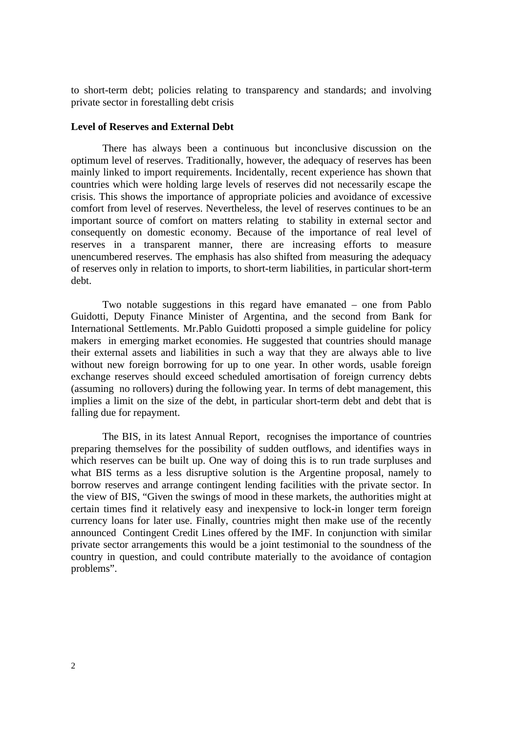to short-term debt; policies relating to transparency and standards; and involving private sector in forestalling debt crisis

# **Level of Reserves and External Debt**

There has always been a continuous but inconclusive discussion on the optimum level of reserves. Traditionally, however, the adequacy of reserves has been mainly linked to import requirements. Incidentally, recent experience has shown that countries which were holding large levels of reserves did not necessarily escape the crisis. This shows the importance of appropriate policies and avoidance of excessive comfort from level of reserves. Nevertheless, the level of reserves continues to be an important source of comfort on matters relating to stability in external sector and consequently on domestic economy. Because of the importance of real level of reserves in a transparent manner, there are increasing efforts to measure unencumbered reserves. The emphasis has also shifted from measuring the adequacy of reserves only in relation to imports, to short-term liabilities, in particular short-term debt.

Two notable suggestions in this regard have emanated – one from Pablo Guidotti, Deputy Finance Minister of Argentina, and the second from Bank for International Settlements. Mr.Pablo Guidotti proposed a simple guideline for policy makers in emerging market economies. He suggested that countries should manage their external assets and liabilities in such a way that they are always able to live without new foreign borrowing for up to one year. In other words, usable foreign exchange reserves should exceed scheduled amortisation of foreign currency debts (assuming no rollovers) during the following year. In terms of debt management, this implies a limit on the size of the debt, in particular short-term debt and debt that is falling due for repayment.

The BIS, in its latest Annual Report, recognises the importance of countries preparing themselves for the possibility of sudden outflows, and identifies ways in which reserves can be built up. One way of doing this is to run trade surpluses and what BIS terms as a less disruptive solution is the Argentine proposal, namely to borrow reserves and arrange contingent lending facilities with the private sector. In the view of BIS, "Given the swings of mood in these markets, the authorities might at certain times find it relatively easy and inexpensive to lock-in longer term foreign currency loans for later use. Finally, countries might then make use of the recently announced Contingent Credit Lines offered by the IMF. In conjunction with similar private sector arrangements this would be a joint testimonial to the soundness of the country in question, and could contribute materially to the avoidance of contagion problems".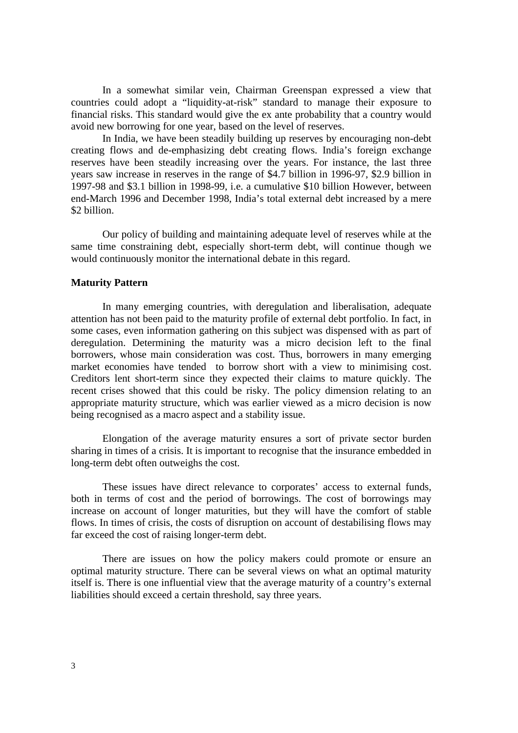In a somewhat similar vein, Chairman Greenspan expressed a view that countries could adopt a "liquidity-at-risk" standard to manage their exposure to financial risks. This standard would give the ex ante probability that a country would avoid new borrowing for one year, based on the level of reserves.

In India, we have been steadily building up reserves by encouraging non-debt creating flows and de-emphasizing debt creating flows. India's foreign exchange reserves have been steadily increasing over the years. For instance, the last three years saw increase in reserves in the range of \$4.7 billion in 1996-97, \$2.9 billion in 1997-98 and \$3.1 billion in 1998-99, i.e. a cumulative \$10 billion However, between end-March 1996 and December 1998, India's total external debt increased by a mere \$2 billion.

Our policy of building and maintaining adequate level of reserves while at the same time constraining debt, especially short-term debt, will continue though we would continuously monitor the international debate in this regard.

## **Maturity Pattern**

In many emerging countries, with deregulation and liberalisation, adequate attention has not been paid to the maturity profile of external debt portfolio. In fact, in some cases, even information gathering on this subject was dispensed with as part of deregulation. Determining the maturity was a micro decision left to the final borrowers, whose main consideration was cost. Thus, borrowers in many emerging market economies have tended to borrow short with a view to minimising cost. Creditors lent short-term since they expected their claims to mature quickly. The recent crises showed that this could be risky. The policy dimension relating to an appropriate maturity structure, which was earlier viewed as a micro decision is now being recognised as a macro aspect and a stability issue.

Elongation of the average maturity ensures a sort of private sector burden sharing in times of a crisis. It is important to recognise that the insurance embedded in long-term debt often outweighs the cost.

These issues have direct relevance to corporates' access to external funds, both in terms of cost and the period of borrowings. The cost of borrowings may increase on account of longer maturities, but they will have the comfort of stable flows. In times of crisis, the costs of disruption on account of destabilising flows may far exceed the cost of raising longer-term debt.

There are issues on how the policy makers could promote or ensure an optimal maturity structure. There can be several views on what an optimal maturity itself is. There is one influential view that the average maturity of a country's external liabilities should exceed a certain threshold, say three years.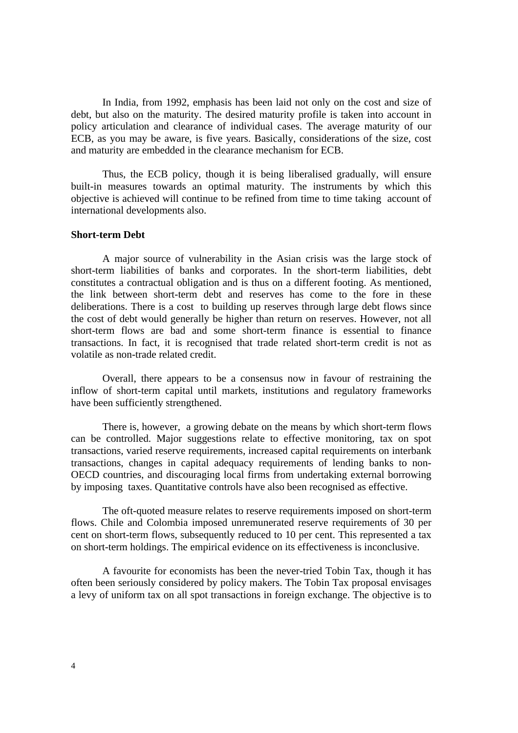In India, from 1992, emphasis has been laid not only on the cost and size of debt, but also on the maturity. The desired maturity profile is taken into account in policy articulation and clearance of individual cases. The average maturity of our ECB, as you may be aware, is five years. Basically, considerations of the size, cost and maturity are embedded in the clearance mechanism for ECB.

Thus, the ECB policy, though it is being liberalised gradually, will ensure built-in measures towards an optimal maturity. The instruments by which this objective is achieved will continue to be refined from time to time taking account of international developments also.

#### **Short-term Debt**

A major source of vulnerability in the Asian crisis was the large stock of short-term liabilities of banks and corporates. In the short-term liabilities, debt constitutes a contractual obligation and is thus on a different footing. As mentioned, the link between short-term debt and reserves has come to the fore in these deliberations. There is a cost to building up reserves through large debt flows since the cost of debt would generally be higher than return on reserves. However, not all short-term flows are bad and some short-term finance is essential to finance transactions. In fact, it is recognised that trade related short-term credit is not as volatile as non-trade related credit.

Overall, there appears to be a consensus now in favour of restraining the inflow of short-term capital until markets, institutions and regulatory frameworks have been sufficiently strengthened.

There is, however, a growing debate on the means by which short-term flows can be controlled. Major suggestions relate to effective monitoring, tax on spot transactions, varied reserve requirements, increased capital requirements on interbank transactions, changes in capital adequacy requirements of lending banks to non-OECD countries, and discouraging local firms from undertaking external borrowing by imposing taxes. Quantitative controls have also been recognised as effective.

The oft-quoted measure relates to reserve requirements imposed on short-term flows. Chile and Colombia imposed unremunerated reserve requirements of 30 per cent on short-term flows, subsequently reduced to 10 per cent. This represented a tax on short-term holdings. The empirical evidence on its effectiveness is inconclusive.

A favourite for economists has been the never-tried Tobin Tax, though it has often been seriously considered by policy makers. The Tobin Tax proposal envisages a levy of uniform tax on all spot transactions in foreign exchange. The objective is to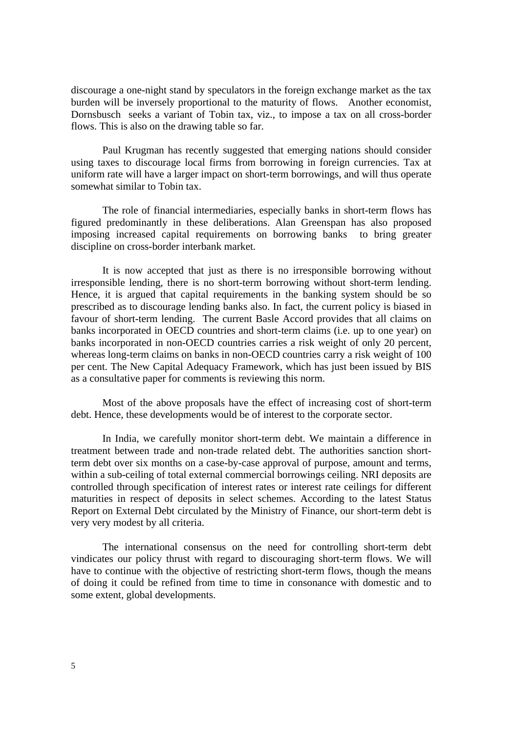discourage a one-night stand by speculators in the foreign exchange market as the tax burden will be inversely proportional to the maturity of flows. Another economist, Dornsbusch seeks a variant of Tobin tax, viz., to impose a tax on all cross-border flows. This is also on the drawing table so far.

Paul Krugman has recently suggested that emerging nations should consider using taxes to discourage local firms from borrowing in foreign currencies. Tax at uniform rate will have a larger impact on short-term borrowings, and will thus operate somewhat similar to Tobin tax.

The role of financial intermediaries, especially banks in short-term flows has figured predominantly in these deliberations. Alan Greenspan has also proposed imposing increased capital requirements on borrowing banks to bring greater discipline on cross-border interbank market.

It is now accepted that just as there is no irresponsible borrowing without irresponsible lending, there is no short-term borrowing without short-term lending. Hence, it is argued that capital requirements in the banking system should be so prescribed as to discourage lending banks also. In fact, the current policy is biased in favour of short-term lending. The current Basle Accord provides that all claims on banks incorporated in OECD countries and short-term claims (i.e. up to one year) on banks incorporated in non-OECD countries carries a risk weight of only 20 percent, whereas long-term claims on banks in non-OECD countries carry a risk weight of 100 per cent. The New Capital Adequacy Framework, which has just been issued by BIS as a consultative paper for comments is reviewing this norm.

Most of the above proposals have the effect of increasing cost of short-term debt. Hence, these developments would be of interest to the corporate sector.

In India, we carefully monitor short-term debt. We maintain a difference in treatment between trade and non-trade related debt. The authorities sanction shortterm debt over six months on a case-by-case approval of purpose, amount and terms, within a sub-ceiling of total external commercial borrowings ceiling. NRI deposits are controlled through specification of interest rates or interest rate ceilings for different maturities in respect of deposits in select schemes. According to the latest Status Report on External Debt circulated by the Ministry of Finance, our short-term debt is very very modest by all criteria.

The international consensus on the need for controlling short-term debt vindicates our policy thrust with regard to discouraging short-term flows. We will have to continue with the objective of restricting short-term flows, though the means of doing it could be refined from time to time in consonance with domestic and to some extent, global developments.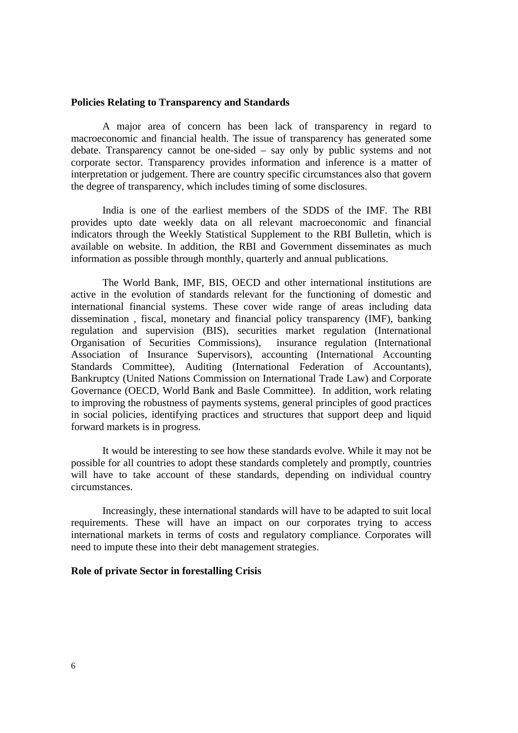#### **Policies Relating to Transparency and Standards**

A major area of concern has been lack of transparency in regard to macroeconomic and financial health. The issue of transparency has generated some debate. Transparency cannot be one-sided – say only by public systems and not corporate sector. Transparency provides information and inference is a matter of interpretation or judgement. There are country specific circumstances also that govern the degree of transparency, which includes timing of some disclosures.

India is one of the earliest members of the SDDS of the IMF. The RBI provides upto date weekly data on all relevant macroeconomic and financial indicators through the Weekly Statistical Supplement to the RBI Bulletin, which is available on website. In addition, the RBI and Government disseminates as much information as possible through monthly, quarterly and annual publications.

The World Bank, IMF, BIS, OECD and other international institutions are active in the evolution of standards relevant for the functioning of domestic and international financial systems. These cover wide range of areas including data dissemination , fiscal, monetary and financial policy transparency (IMF), banking regulation and supervision (BIS), securities market regulation (International Organisation of Securities Commissions), insurance regulation (International Association of Insurance Supervisors), accounting (International Accounting Standards Committee), Auditing (International Federation of Accountants), Bankruptcy (United Nations Commission on International Trade Law) and Corporate Governance (OECD, World Bank and Basle Committee). In addition, work relating to improving the robustness of payments systems, general principles of good practices in social policies, identifying practices and structures that support deep and liquid forward markets is in progress.

It would be interesting to see how these standards evolve. While it may not be possible for all countries to adopt these standards completely and promptly, countries will have to take account of these standards, depending on individual country circumstances.

Increasingly, these international standards will have to be adapted to suit local requirements. These will have an impact on our corporates trying to access international markets in terms of costs and regulatory compliance. Corporates will need to impute these into their debt management strategies.

## **Role of private Sector in forestalling Crisis**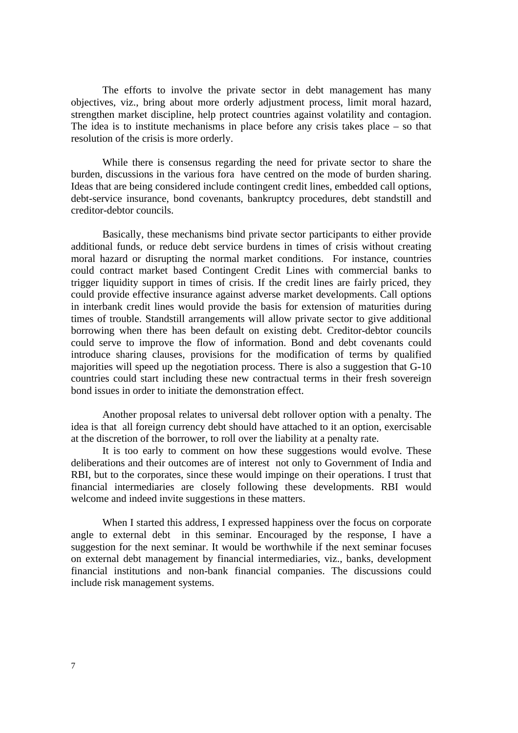The efforts to involve the private sector in debt management has many objectives, viz., bring about more orderly adjustment process, limit moral hazard, strengthen market discipline, help protect countries against volatility and contagion. The idea is to institute mechanisms in place before any crisis takes place – so that resolution of the crisis is more orderly.

While there is consensus regarding the need for private sector to share the burden, discussions in the various fora have centred on the mode of burden sharing. Ideas that are being considered include contingent credit lines, embedded call options, debt-service insurance, bond covenants, bankruptcy procedures, debt standstill and creditor-debtor councils.

Basically, these mechanisms bind private sector participants to either provide additional funds, or reduce debt service burdens in times of crisis without creating moral hazard or disrupting the normal market conditions. For instance, countries could contract market based Contingent Credit Lines with commercial banks to trigger liquidity support in times of crisis. If the credit lines are fairly priced, they could provide effective insurance against adverse market developments. Call options in interbank credit lines would provide the basis for extension of maturities during times of trouble. Standstill arrangements will allow private sector to give additional borrowing when there has been default on existing debt. Creditor-debtor councils could serve to improve the flow of information. Bond and debt covenants could introduce sharing clauses, provisions for the modification of terms by qualified majorities will speed up the negotiation process. There is also a suggestion that G-10 countries could start including these new contractual terms in their fresh sovereign bond issues in order to initiate the demonstration effect.

Another proposal relates to universal debt rollover option with a penalty. The idea is that all foreign currency debt should have attached to it an option, exercisable at the discretion of the borrower, to roll over the liability at a penalty rate.

It is too early to comment on how these suggestions would evolve. These deliberations and their outcomes are of interest not only to Government of India and RBI, but to the corporates, since these would impinge on their operations. I trust that financial intermediaries are closely following these developments. RBI would welcome and indeed invite suggestions in these matters.

When I started this address, I expressed happiness over the focus on corporate angle to external debt in this seminar. Encouraged by the response, I have a suggestion for the next seminar. It would be worthwhile if the next seminar focuses on external debt management by financial intermediaries, viz., banks, development financial institutions and non-bank financial companies. The discussions could include risk management systems.